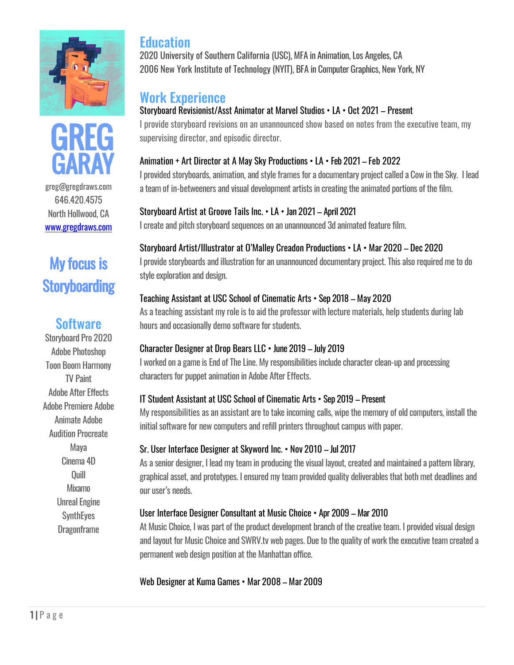



greg@gregdraws.com 646.420.4575 North Hollwood, CA [www.gregdraws.com](http://www.gregdraws.com/)

# My focus is **Storyboarding**

## **Software**

Storyboard Pro 2020 Adobe Photoshop **Toon Boom Harmony** TV Paint Adobe After Effects Adobe Premiere Adobe Animate Adobe Audition Procreate Maya Cinema 4D Quill Mixamo Unreal Engine **SynthEyes Dragonframe** 

## **Education**

2020 University of Southern California (USC), MFA in Animation, Los Angeles, CA 2006 New York Institute of Technology (NYIT), BFA in Computer Graphics, New York, NY

# Work Experience

#### Storyboard Revisionist/Asst Animator at Marvel Studios • LA • Oct 2021 – Present

I provide storyboard revisions on an unannounced show based on notes from the executive team, my supervising director, and episodic director.

#### Animation + Art Director at A May Sky Productions • LA • Feb 2021 – Feb 2022

I provided storyboards, animation, and style frames for a documentary project called a Cow in the Sky. I lead a team of in-betweeners and visual development artists in creating the animated portions of the film.

#### Storyboard Artist at Groove Tails Inc. • LA • Jan 2021 – April 2021

I create and pitch storyboard sequences on an unannounced 3d animated feature film.

### Storyboard Artist/Illustrator at O'Malley Creadon Productions • LA • Mar 2020 – Dec 2020

I provide storyboards and illustration for an unannounced documentary project. This also requiredme to do style exploration and design.

#### Teaching Assistant at USC School of Cinematic Arts • Sep 2018 – May 2020

As a teaching assistant my role is to aid the professor with lecture materials, help students during lab hours and occasionally demo software for students.

### Character Designer at Drop Bears LLC • June 2019 – July 2019

I worked on a game is End of The Line. Myresponsibilities include character clean-up and processing characters for puppet animation in Adobe After Effects.

### IT Student Assistant at USC School of Cinematic Arts • Sep 2019 – Present

My responsibilities as an assistant are to take incoming calls, wipe the memory of old computers, install the initial software for new computers and refill printers throughout campus with paper.

#### Sr. User Interface Designer at Skyword Inc. • Nov 2010 – Jul 2017

As a senior designer, I lead my team in producing the visual layout, created and maintained a pattern library, graphical asset, and prototypes. I ensured my teamprovided quality deliverablesthat both met deadlines and our user's needs.

#### User Interface Designer Consultant at Music Choice • Apr 2009 – Mar 2010

At Music Choice, I was part of the product development branch of the creative team. I provided visual design and layout for Music Choice and SWRV.tv web pages. Due to the quality of work the executive team created a permanent web design position at the Manhattan office.

### Web Designer at Kuma Games • Mar 2008 – Mar 2009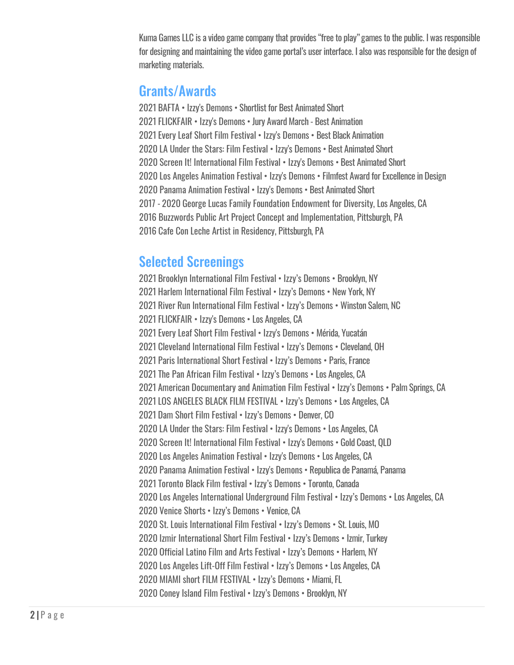Kuma Games LLC is a video game company that provides "free to play" games to the public. I was responsible for designing and maintaining the video game portal's user interface. I also was responsible for the design of marketing materials.

# Grants/Awards

2021 BAFTA • Izzy's Demons • Shortlist for Best Animated Short 2021 FLICKFAIR • Izzy's Demons • Jury Award March - Best Animation 2021 Every Leaf Short Film Festival • Izzy's Demons • Best Black Animation 2020 LA Under the Stars: Film Festival • Izzy's Demons • Best Animated Short 2020 Screen It! International Film Festival • Izzy's Demons • Best Animated Short 2020 Los Angeles Animation Festival • Izzy's Demons • Filmfest Award for Excellence in Design 2020 Panama Animation Festival • Izzy's Demons • Best Animated Short 2017 - 2020 George Lucas Family Foundation Endowment for Diversity, Los Angeles, CA 2016 Buzzwords Public Art Project Concept and Implementation, Pittsburgh, PA 2016 Cafe Con Leche Artist in Residency, Pittsburgh, PA

# Selected Screenings

2021 Brooklyn International Film Festival • Izzy's Demons • Brooklyn, NY 2021 Harlem International Film Festival • Izzy's Demons • New York, NY 2021 River Run International Film Festival • Izzy's Demons • Winston Salem, NC 2021 FLICKFAIR • Izzy's Demons • Los Angeles, CA 2021 Every Leaf Short Film Festival • Izzy's Demons • Mérida, Yucatán 2021 Cleveland International Film Festival • Izzy's Demons • Cleveland, OH 2021 Paris International Short Festival • Izzy's Demons • Paris, France 2021 The Pan African Film Festival • Izzy's Demons • Los Angeles, CA 2021 American Documentary and Animation Film Festival • Izzy's Demons • Palm Springs, CA 2021 LOS ANGELES BLACK FILM FESTIVAL • Izzy's Demons • Los Angeles, CA 2021 Dam Short Film Festival • Izzy's Demons • Denver, CO 2020 LA Under the Stars: Film Festival • Izzy's Demons • Los Angeles, CA 2020 Screen It! International Film Festival • Izzy's Demons • Gold Coast, QLD 2020 Los Angeles Animation Festival • Izzy's Demons • Los Angeles, CA 2020 Panama Animation Festival • Izzy's Demons • Republica de Panamá, Panama 2021 Toronto Black Film festival • Izzy's Demons • Toronto, Canada 2020 Los Angeles International Underground Film Festival • Izzy's Demons • Los Angeles, CA 2020 Venice Shorts • Izzy's Demons • Venice, CA 2020 St. Louis International Film Festival • Izzy's Demons • St. Louis, MO 2020 Izmir International Short Film Festival • Izzy's Demons • Izmir, Turkey 2020 Official Latino Film and Arts Festival • Izzy's Demons • Harlem, NY 2020 Los Angeles Lift-Off Film Festival • Izzy's Demons • Los Angeles, CA 2020 MIAMI short FILM FESTIVAL • Izzy's Demons • Miami, FL 2020 Coney Island Film Festival • Izzy's Demons • Brooklyn, NY